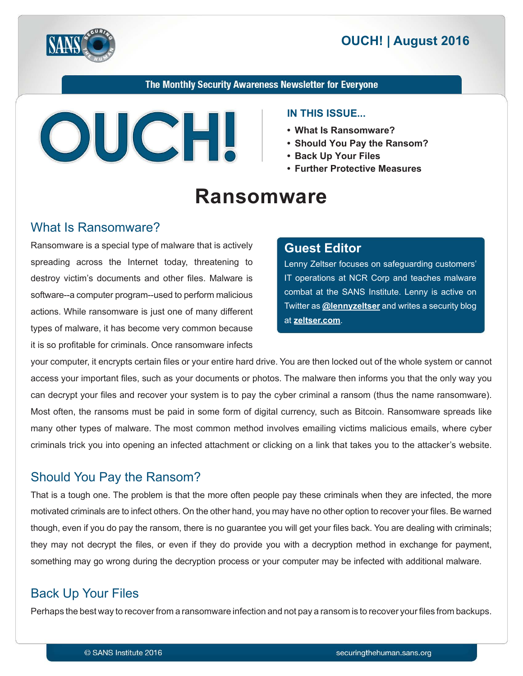



### The Monthly Security Awareness Newsletter for Everyone



### **IN THIS ISSUE...**

- What Is Ransomware?
- Should You Pay the **Ransom**?
- **Back Up Your Files** 
	- **Further Protective Measures**

# **Ransomware**

## What Is Ransomware?

Ransomware is a special type of malware that is actively spreading across the Internet today, threatening to destroy victim's documents and other files. Malware is software--a computer program--used to perform malicious actions. While ransomware is just one of many different types of malware, it has become very common because it is so profitable for criminals. Once ransomware infects

### **Editor Guest**

Lenny Zeltser focuses on safeguarding customers' IT operations at NCR Corp and teaches malware combat at the SANS Institute. Lenny is active on Fwitter as **@[lennyzeltser](https://twitter.com/lennyzeltser?lang=en)** and writes a security blog at zeltser.com.

your computer, it encrypts certain files or your entire hard drive. You are then locked out of the whole system or cannot access your important files, such as your documents or photos. The malware then informs you that the only way you can decrypt your files and recover your system is to pay the cyber criminal a ransom (thus the name ransomware). Most often, the ransoms must be paid in some form of digital currency, such as Bitcoin. Ransomware spreads like many other types of malware. The most common method involves emailing victims malicious emails, where cyber criminals trick you into opening an infected attachment or clicking on a link that takes you to the attacker's website.

# Should You Pay the Ransom?

That is a tough one. The problem is that the more often people pay these criminals when they are infected, the more motivated criminals are to infect others. On the other hand, you may have no other option to recover your files. Be warned though, even if you do pay the ransom, there is no guarantee you will get your files back. You are dealing with criminals; they may not decrypt the files, or even if they do provide you with a decryption method in exchange for payment, something may go wrong during the decryption process or your computer may be infected with additional malware.

# **Back Up Your Files**

Perhaps the best way to recover from a ransomware infection and not pay a ransom is to recover your files from backups.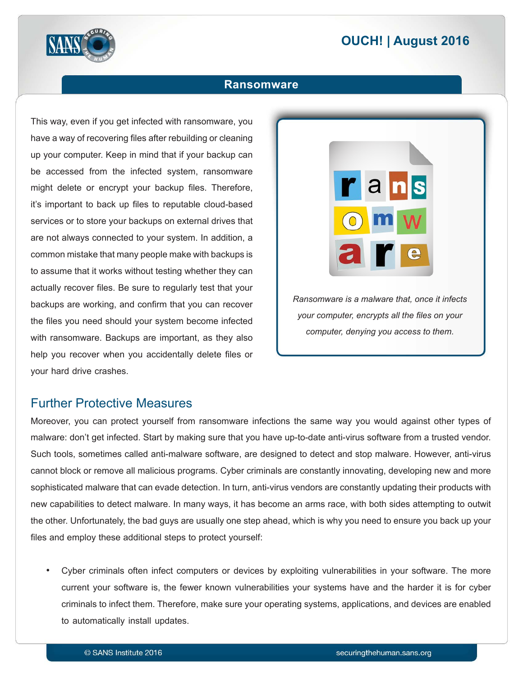# **2016 | OUCH! | August 2016**



### **Ransomware**

This way, even if you get infected with ransomware, you have a way of recovering files after rebuilding or cleaning up your computer. Keep in mind that if your backup can be accessed from the infected system, ransomware might delete or encrypt your backup files. Therefore, it's important to back up files to reputable cloud-based services or to store your backups on external drives that are not always connected to your system. In addition, a common mistake that many people make with backups is to assume that it works without testing whether they can actually recover files. Be sure to requiarly test that your backups are working, and confirm that you can recover the files you need should your system become infected with ransomware. Backups are important, as they also help you recover when you accidentally delete files or your hard drive crashes.



## **Further Protective Measures**

Moreover, you can protect yourself from ransomware infections the same way you would against other types of malware: don't get infected. Start by making sure that you have up-to-date anti-virus software from a trusted vendor. Such tools, sometimes called anti-malware software, are designed to detect and stop malware. However, anti-virus cannot block or remove all malicious programs. Cyber criminals are constantly innovating, developing new and more sophisticated malware that can evade detection. In turn, anti-virus vendors are constantly updating their products with new capabilities to detect malware. In many ways, it has become an arms race, with both sides attempting to outwit the other. Unfortunately, the bad guys are usually one step ahead, which is why you need to ensure you back up your files and employ these additional steps to protect yourself:

Cyber criminals often infect computers or devices by exploiting vulnerabilities in your software. The more current your software is, the fewer known vulnerabilities your systems have and the harder it is for cyber criminals to infect them. Therefore, make sure your operating systems, applications, and devices are enabled to automatically install updates.